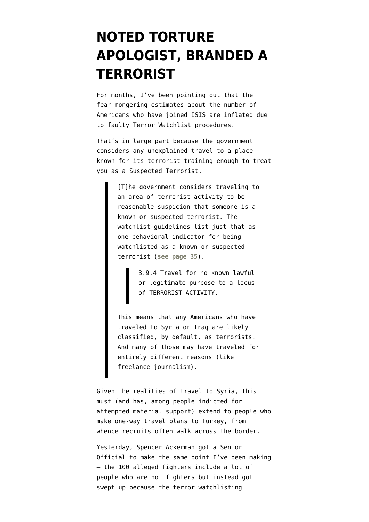## **[NOTED TORTURE](https://www.emptywheel.net/2014/09/23/noted-torture-apologist-branded-a-terrorist/) [APOLOGIST, BRANDED A](https://www.emptywheel.net/2014/09/23/noted-torture-apologist-branded-a-terrorist/) [TERRORIST](https://www.emptywheel.net/2014/09/23/noted-torture-apologist-branded-a-terrorist/)**

For months, I've been pointing out that the fear-mongering estimates about the number of Americans who have joined ISIS [are inflated](http://www.emptywheel.net/2014/09/05/two-explanation-for-confusion-about-us-isis-members-associational-claims-and-watchlisting-procedures/) due to faulty [Terror Watchlist procedures](https://www.documentcloud.org/documents/1227228-2013-watchlist-guidance.html).

That's in large part because the government considers any unexplained travel to a place known for its terrorist training enough to treat you as a Suspected Terrorist.

> [T]he government considers traveling to an area of terrorist activity to be reasonable suspicion that someone is a known or suspected terrorist. The watchlist guidelines list just that as one behavioral indicator for being watchlisted as a known or suspected terrorist (**[see page 35](https://www.documentcloud.org/documents/1227228-2013-watchlist-guidance.html)**).

> > 3.9.4 Travel for no known lawful or legitimate purpose to a locus of TERRORIST ACTIVITY.

This means that any Americans who have traveled to Syria or Iraq are likely classified, by default, as terrorists. And many of those may have traveled for entirely different reasons (like freelance journalism).

Given the realities of travel to Syria, this must (and has, among people indicted for attempted material support) extend to people who make one-way travel plans to Turkey, from whence recruits often walk across the border.

Yesterday, Spencer Ackerman got a Senior Official to [make the same point](http://www.theguardian.com/world/2014/sep/22/americans-in-syria-fight-isis-jihadi-20-100-estimate) I've been making — the 100 alleged fighters include a lot of people who are not fighters but instead got swept up because the terror watchlisting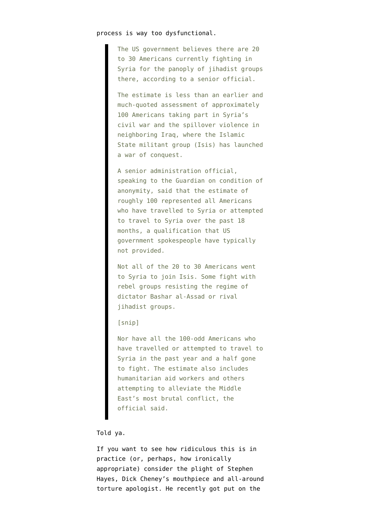## process is way too dysfunctional.

The US government believes there are 20 to 30 Americans currently fighting in Syria for the panoply of jihadist groups there, according to a senior official.

The estimate is less than an earlier and much-quoted assessment of approximately 100 Americans taking part in Syria's civil war and the spillover violence in neighboring Iraq, where the Islamic State militant group (Isis) has launched a war of conquest.

A senior administration official, speaking to the Guardian on condition of anonymity, said that the estimate of roughly 100 represented all Americans who have travelled to Syria or attempted to travel to Syria over the past 18 months, a qualification that US government spokespeople have typically not provided.

Not all of the 20 to 30 Americans went to Syria to join Isis. Some fight with rebel groups resisting the regime of dictator Bashar al-Assad or rival jihadist groups.

## [snip]

Nor have all the 100-odd Americans who have travelled or attempted to travel to Syria in the past year and a half gone to fight. The estimate also includes humanitarian aid workers and others attempting to alleviate the Middle East's most brutal conflict, the official said.

## Told ya.

If you want to see how ridiculous this is in practice (or, perhaps, how ironically appropriate) consider the plight of Stephen Hayes, Dick Cheney's mouthpiece and all-around torture apologist. He recently got put on the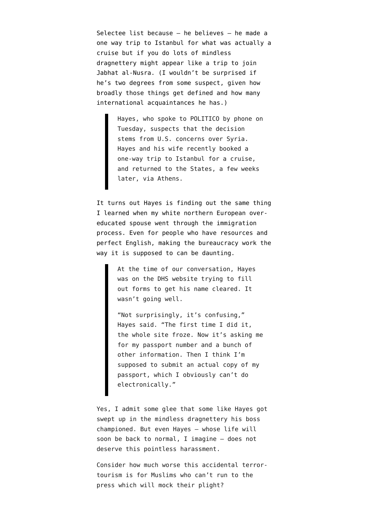Selectee list because — [he believes](http://www.politico.com/blogs/media/2014/09/stephen-hayes-on-dhs-terrorist-watchlist-195996.html) — he made a one way trip to Istanbul for what was actually a cruise but if you do lots of mindless dragnettery might appear like a trip to join Jabhat al-Nusra. (I wouldn't be surprised if he's two degrees from some suspect, given how broadly those things get defined and how many international acquaintances he has.)

> Hayes, who spoke to POLITICO by phone on Tuesday, suspects that the decision stems from U.S. concerns over Syria. Hayes and his wife recently booked a one-way trip to Istanbul for a cruise, and returned to the States, a few weeks later, via Athens.

It turns out Hayes is finding out the same thing I learned when my white northern European overeducated spouse went through the immigration process. Even for people who have resources and perfect English, making the bureaucracy work the way it is supposed to can be daunting.

> At the time of our conversation, Hayes was on the DHS website trying to fill out forms to get his name cleared. It wasn't going well.

"Not surprisingly, it's confusing," Hayes said. "The first time I did it, the whole site froze. Now it's asking me for my passport number and a bunch of other information. Then I think I'm supposed to submit an actual copy of my passport, which I obviously can't do electronically."

Yes, I admit some glee that some like Hayes got swept up in the mindless dragnettery his boss championed. But even Hayes — whose life will soon be back to normal, I imagine — does not deserve this pointless harassment.

Consider how much worse this accidental terrortourism is for Muslims who can't run to the press which will mock their plight?